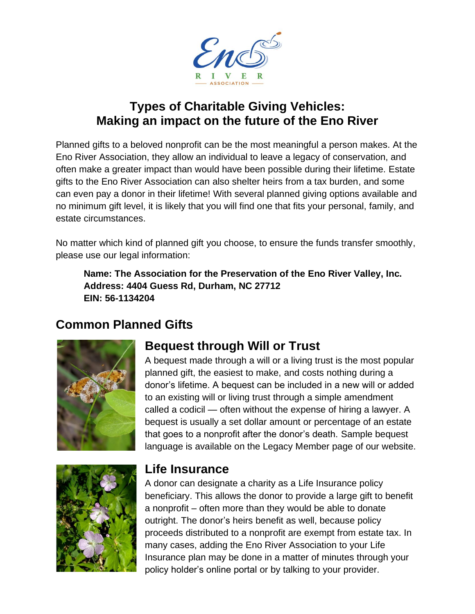

#### **Types of Charitable Giving Vehicles: Making an impact on the future of the Eno River**

Planned gifts to a beloved nonprofit can be the most meaningful a person makes. At the Eno River Association, they allow an individual to leave a legacy of conservation, and often make a greater impact than would have been possible during their lifetime. Estate gifts to the Eno River Association can also shelter heirs from a tax burden, and some can even pay a donor in their lifetime! With several planned giving options available and no minimum gift level, it is likely that you will find one that fits your personal, family, and estate circumstances.

No matter which kind of planned gift you choose, to ensure the funds transfer smoothly, please use our legal information:

**Name: The Association for the Preservation of the Eno River Valley, Inc. Address: 4404 Guess Rd, Durham, NC 27712 EIN: 56-1134204**

### **Common Planned Gifts**



### **Bequest through Will or Trust**

A bequest made through a will or a living trust is the most popular planned gift, the easiest to make, and costs nothing during a donor's lifetime. A bequest can be included in a new will or added to an existing will or living trust through a simple amendment called a codicil — often without the expense of hiring a lawyer. A bequest is usually a set dollar amount or percentage of an estate that goes to a nonprofit after the donor's death. Sample bequest language is available on the Legacy Member page of our website.



#### **Life Insurance**

A donor can designate a charity as a Life Insurance policy beneficiary. This allows the donor to provide a large gift to benefit a nonprofit – often more than they would be able to donate outright. The donor's heirs benefit as well, because policy proceeds distributed to a nonprofit are exempt from estate tax. In many cases, adding the Eno River Association to your Life Insurance plan may be done in a matter of minutes through your policy holder's online portal or by talking to your provider.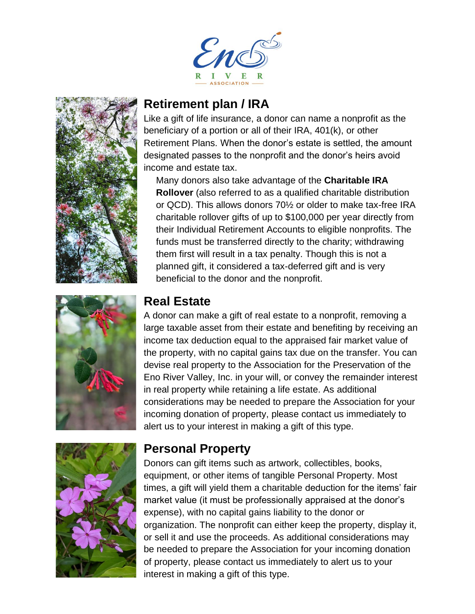







#### **Retirement plan / IRA**

Like a gift of life insurance, a donor can name a nonprofit as the beneficiary of a portion or all of their IRA, 401(k), or other Retirement Plans. When the donor's estate is settled, the amount designated passes to the nonprofit and the donor's heirs avoid income and estate tax.

Many donors also take advantage of the **Charitable IRA Rollover** (also referred to as a qualified charitable distribution or QCD). This allows donors 70½ or older to make tax-free IRA charitable rollover gifts of up to \$100,000 per year directly from their Individual Retirement Accounts to eligible nonprofits. The funds must be transferred directly to the charity; withdrawing them first will result in a tax penalty. Though this is not a planned gift, it considered a tax-deferred gift and is very beneficial to the donor and the nonprofit.

#### **Real Estate**

A donor can make a gift of real estate to a nonprofit, removing a large taxable asset from their estate and benefiting by receiving an income tax deduction equal to the appraised fair market value of the property, with no capital gains tax due on the transfer. You can devise real property to the Association for the Preservation of the Eno River Valley, Inc. in your will, or convey the remainder interest in real property while retaining a life estate. As additional considerations may be needed to prepare the Association for your incoming donation of property, please contact us immediately to alert us to your interest in making a gift of this type.

### **Personal Property**

Donors can gift items such as artwork, collectibles, books, equipment, or other items of tangible Personal Property. Most times, a gift will yield them a charitable deduction for the items' fair market value (it must be professionally appraised at the donor's expense), with no capital gains liability to the donor or organization. The nonprofit can either keep the property, display it, or sell it and use the proceeds. As additional considerations may be needed to prepare the Association for your incoming donation of property, please contact us immediately to alert us to your interest in making a gift of this type.